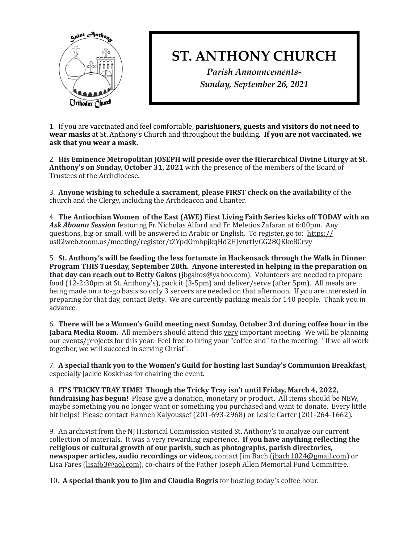

## **ST. ANTHONY CHURCH**

*Parish Announcements-Sunday, September 26, 2021*

1. If you are vaccinated and feel comfortable, **parishioners, guests and visitors do not need to wear masks** at St. Anthony's Church and throughout the building. **If you are not vaccinated, we** ask that you wear a mask.

2. His Eminence Metropolitan **JOSEPH** will preside over the Hierarchical Divine Liturgy at St. **Anthony's on Sunday, October 31, 2021** with the presence of the members of the Board of Trustees of the Archdiocese.

3. Anyone wishing to schedule a sacrament, please FIRST check on the availability of the church and the Clergy, including the Archdeacon and Chanter.

4. The Antiochian Women of the East (AWE) First Living Faith Series kicks off TODAY with an Ask Abouna Session featuring Fr. Nicholas Alford and Fr. Meletios Zafaran at 6:00pm. Any questions, big or small, will be answered in Arabic or English. To register, go to:  $https://$ [us02web.zoom.us/meeting/register/tZYpdOmhpjkqHd2HJvnrtIyGG28QKke8Crvy](https://us02web.zoom.us/meeting/register/tZYpdOmhpjkqHd2HJvnrtIyGG28QKke8Crvy)

5. St. Anthony's will be feeding the less fortunate in Hackensack through the Walk in Dinner **Program THIS Tuesday, September 28th. Anyone interested in helping in the preparation on that day can reach out to Betty Gakos** (*jbgakos@yahoo.com*). Volunteers are needed to prepare food (12-2:30pm at St. Anthony's), pack it (3-5pm) and deliver/serve (after 5pm). All meals are being made on a to-go basis so only 3 servers are needed on that afternoon. If you are interested in preparing for that day, contact Betty. We are currently packing meals for 140 people. Thank you in advance. 

6. There will be a Women's Guild meeting next Sunday, October 3rd during coffee hour in the **Jabara Media Room.** All members should attend this very important meeting. We will be planning our events/projects for this year. Feel free to bring your "coffee and" to the meeting. "If we all work together, we will succeed in serving Christ".

7. A special thank you to the Women's Guild for hosting last Sunday's Communion Breakfast, especially Jackie Koskinas for chairing the event.

8. **IT'S TRICKY TRAY TIME!** Though the Tricky Tray isn't until Friday, March 4, 2022, **fundraising has begun!** Please give a donation, monetary or product. All items should be NEW, maybe something you no longer want or something you purchased and want to donate. Every little bit helps! Please contact Hanneh Kalyoussef (201-693-2968) or Leslie Carter (201-264-1662).

9. An archivist from the NJ Historical Commission visited St. Anthony's to analyze our current collection of materials. It was a very rewarding experience. **If you have anything reflecting the** religious or cultural growth of our parish, such as photographs, parish directories, **newspaper articles, audio recordings or videos,** contact Jim Bach ([jbach1024@gmail.com](mailto:jbach1024@gmail.com)) or Lisa Fares [\(lisaf63@aol.com](mailto:lisaf63@aol.com)), co-chairs of the Father Joseph Allen Memorial Fund Committee.

10. **A special thank you to Jim and Claudia Bogris** for hosting today's coffee hour.